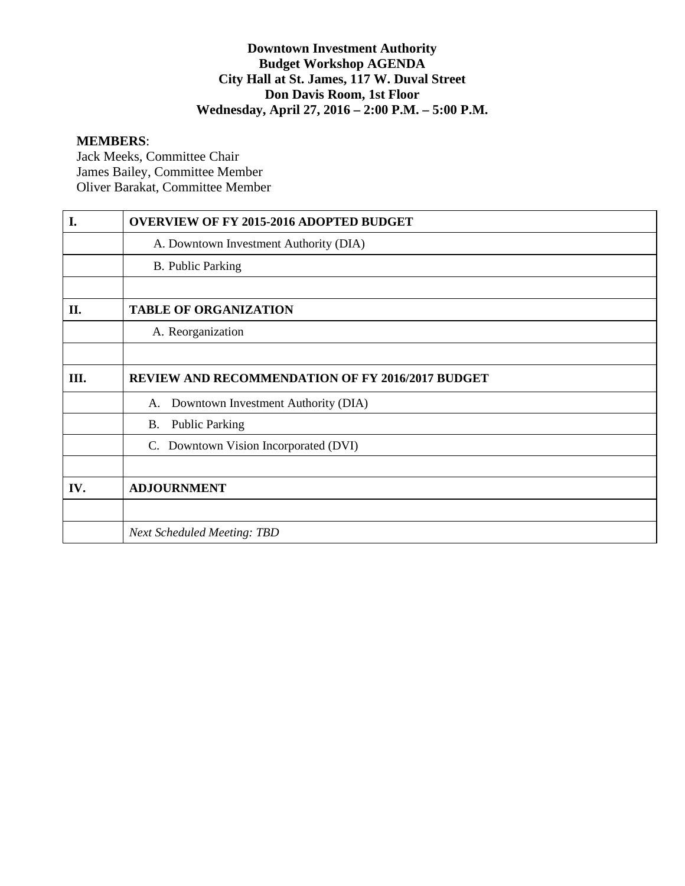## **Downtown Investment Authority Budget Workshop AGENDA City Hall at St. James, 117 W. Duval Street Don Davis Room, 1st Floor Wednesday, April 27, 2016 – 2:00 P.M. – 5:00 P.M.**

#### **MEMBERS**:

Jack Meeks, Committee Chair James Bailey, Committee Member Oliver Barakat, Committee Member

| I.  | <b>OVERVIEW OF FY 2015-2016 ADOPTED BUDGET</b>          |
|-----|---------------------------------------------------------|
|     | A. Downtown Investment Authority (DIA)                  |
|     | <b>B.</b> Public Parking                                |
|     |                                                         |
| II. | <b>TABLE OF ORGANIZATION</b>                            |
|     | A. Reorganization                                       |
|     |                                                         |
| Ш.  | <b>REVIEW AND RECOMMENDATION OF FY 2016/2017 BUDGET</b> |
|     | Downtown Investment Authority (DIA)<br>A.               |
|     | <b>Public Parking</b><br><b>B.</b>                      |
|     | C. Downtown Vision Incorporated (DVI)                   |
|     |                                                         |
| IV. | <b>ADJOURNMENT</b>                                      |
|     |                                                         |
|     | <b>Next Scheduled Meeting: TBD</b>                      |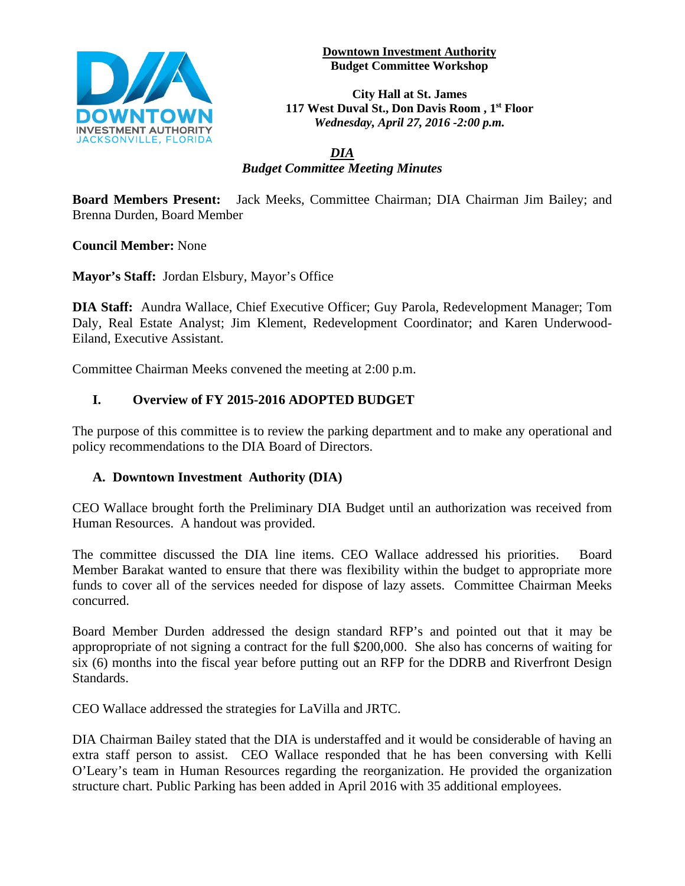

#### **Downtown Investment Authority Budget Committee Workshop**

**City Hall at St. James 117 West Duval St., Don Davis Room , 1st Floor** *Wednesday, April 27, 2016 -2:00 p.m.*

## *DIA Budget Committee Meeting Minutes*

**Board Members Present:** Jack Meeks, Committee Chairman; DIA Chairman Jim Bailey; and Brenna Durden, Board Member

**Council Member:** None

**Mayor's Staff:** Jordan Elsbury, Mayor's Office

**DIA Staff:** Aundra Wallace, Chief Executive Officer; Guy Parola, Redevelopment Manager; Tom Daly, Real Estate Analyst; Jim Klement, Redevelopment Coordinator; and Karen Underwood-Eiland, Executive Assistant.

Committee Chairman Meeks convened the meeting at 2:00 p.m.

# **I. Overview of FY 2015-2016 ADOPTED BUDGET**

The purpose of this committee is to review the parking department and to make any operational and policy recommendations to the DIA Board of Directors.

## **A. Downtown Investment Authority (DIA)**

CEO Wallace brought forth the Preliminary DIA Budget until an authorization was received from Human Resources. A handout was provided.

The committee discussed the DIA line items. CEO Wallace addressed his priorities. Board Member Barakat wanted to ensure that there was flexibility within the budget to appropriate more funds to cover all of the services needed for dispose of lazy assets. Committee Chairman Meeks concurred.

Board Member Durden addressed the design standard RFP's and pointed out that it may be appropropriate of not signing a contract for the full \$200,000. She also has concerns of waiting for six (6) months into the fiscal year before putting out an RFP for the DDRB and Riverfront Design Standards.

CEO Wallace addressed the strategies for LaVilla and JRTC.

DIA Chairman Bailey stated that the DIA is understaffed and it would be considerable of having an extra staff person to assist. CEO Wallace responded that he has been conversing with Kelli O'Leary's team in Human Resources regarding the reorganization. He provided the organization structure chart. Public Parking has been added in April 2016 with 35 additional employees.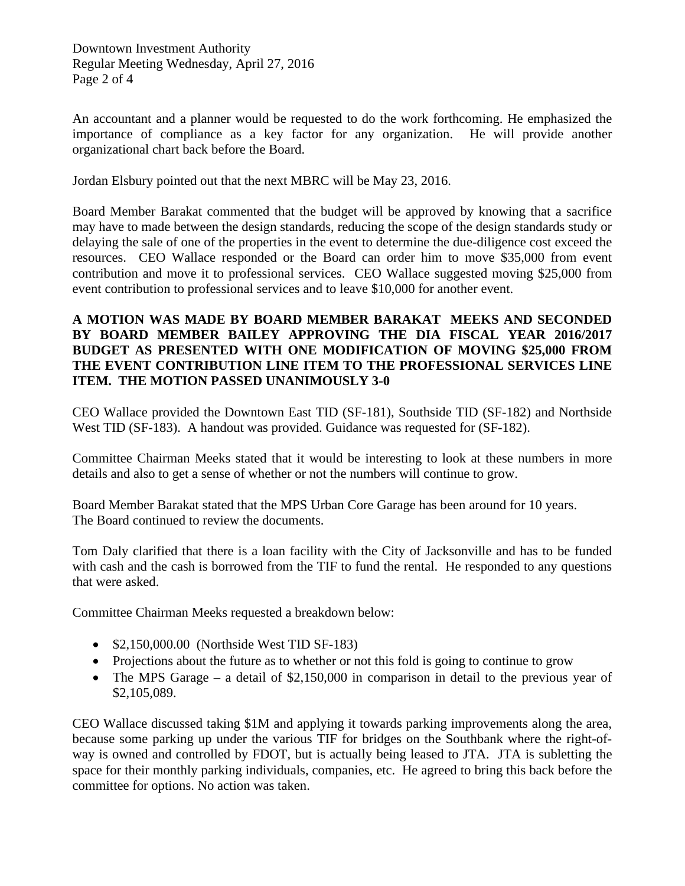Downtown Investment Authority Regular Meeting Wednesday, April 27, 2016 Page 2 of 4

An accountant and a planner would be requested to do the work forthcoming. He emphasized the importance of compliance as a key factor for any organization. He will provide another organizational chart back before the Board.

Jordan Elsbury pointed out that the next MBRC will be May 23, 2016.

Board Member Barakat commented that the budget will be approved by knowing that a sacrifice may have to made between the design standards, reducing the scope of the design standards study or delaying the sale of one of the properties in the event to determine the due-diligence cost exceed the resources. CEO Wallace responded or the Board can order him to move \$35,000 from event contribution and move it to professional services. CEO Wallace suggested moving \$25,000 from event contribution to professional services and to leave \$10,000 for another event.

### **A MOTION WAS MADE BY BOARD MEMBER BARAKAT MEEKS AND SECONDED BY BOARD MEMBER BAILEY APPROVING THE DIA FISCAL YEAR 2016/2017 BUDGET AS PRESENTED WITH ONE MODIFICATION OF MOVING \$25,000 FROM THE EVENT CONTRIBUTION LINE ITEM TO THE PROFESSIONAL SERVICES LINE ITEM. THE MOTION PASSED UNANIMOUSLY 3-0**

CEO Wallace provided the Downtown East TID (SF-181), Southside TID (SF-182) and Northside West TID (SF-183). A handout was provided. Guidance was requested for (SF-182).

Committee Chairman Meeks stated that it would be interesting to look at these numbers in more details and also to get a sense of whether or not the numbers will continue to grow.

Board Member Barakat stated that the MPS Urban Core Garage has been around for 10 years. The Board continued to review the documents.

Tom Daly clarified that there is a loan facility with the City of Jacksonville and has to be funded with cash and the cash is borrowed from the TIF to fund the rental. He responded to any questions that were asked.

Committee Chairman Meeks requested a breakdown below:

- \$2,150,000.00 (Northside West TID SF-183)
- Projections about the future as to whether or not this fold is going to continue to grow
- The MPS Garage a detail of \$2,150,000 in comparison in detail to the previous year of \$2,105,089.

CEO Wallace discussed taking \$1M and applying it towards parking improvements along the area, because some parking up under the various TIF for bridges on the Southbank where the right-ofway is owned and controlled by FDOT, but is actually being leased to JTA. JTA is subletting the space for their monthly parking individuals, companies, etc. He agreed to bring this back before the committee for options. No action was taken.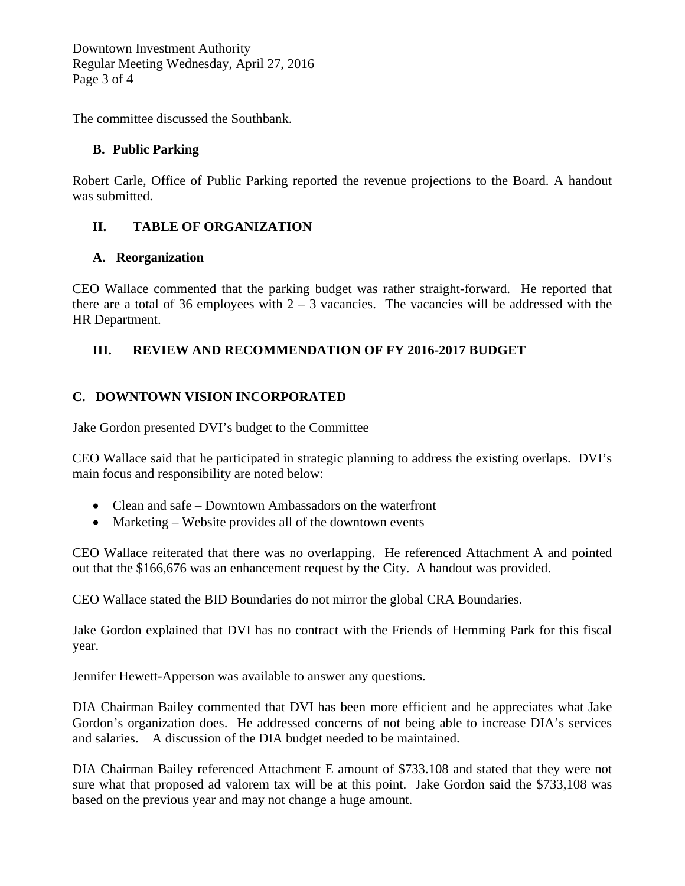Downtown Investment Authority Regular Meeting Wednesday, April 27, 2016 Page 3 of 4

The committee discussed the Southbank.

# **B. Public Parking**

Robert Carle, Office of Public Parking reported the revenue projections to the Board. A handout was submitted.

# **II. TABLE OF ORGANIZATION**

# **A. Reorganization**

CEO Wallace commented that the parking budget was rather straight-forward. He reported that there are a total of 36 employees with  $2 - 3$  vacancies. The vacancies will be addressed with the HR Department.

# **III. REVIEW AND RECOMMENDATION OF FY 2016-2017 BUDGET**

# **C. DOWNTOWN VISION INCORPORATED**

Jake Gordon presented DVI's budget to the Committee

CEO Wallace said that he participated in strategic planning to address the existing overlaps. DVI's main focus and responsibility are noted below:

- Clean and safe Downtown Ambassadors on the waterfront
- Marketing Website provides all of the downtown events

CEO Wallace reiterated that there was no overlapping. He referenced Attachment A and pointed out that the \$166,676 was an enhancement request by the City. A handout was provided.

CEO Wallace stated the BID Boundaries do not mirror the global CRA Boundaries.

Jake Gordon explained that DVI has no contract with the Friends of Hemming Park for this fiscal year.

Jennifer Hewett-Apperson was available to answer any questions.

DIA Chairman Bailey commented that DVI has been more efficient and he appreciates what Jake Gordon's organization does. He addressed concerns of not being able to increase DIA's services and salaries. A discussion of the DIA budget needed to be maintained.

DIA Chairman Bailey referenced Attachment E amount of \$733.108 and stated that they were not sure what that proposed ad valorem tax will be at this point. Jake Gordon said the \$733,108 was based on the previous year and may not change a huge amount.